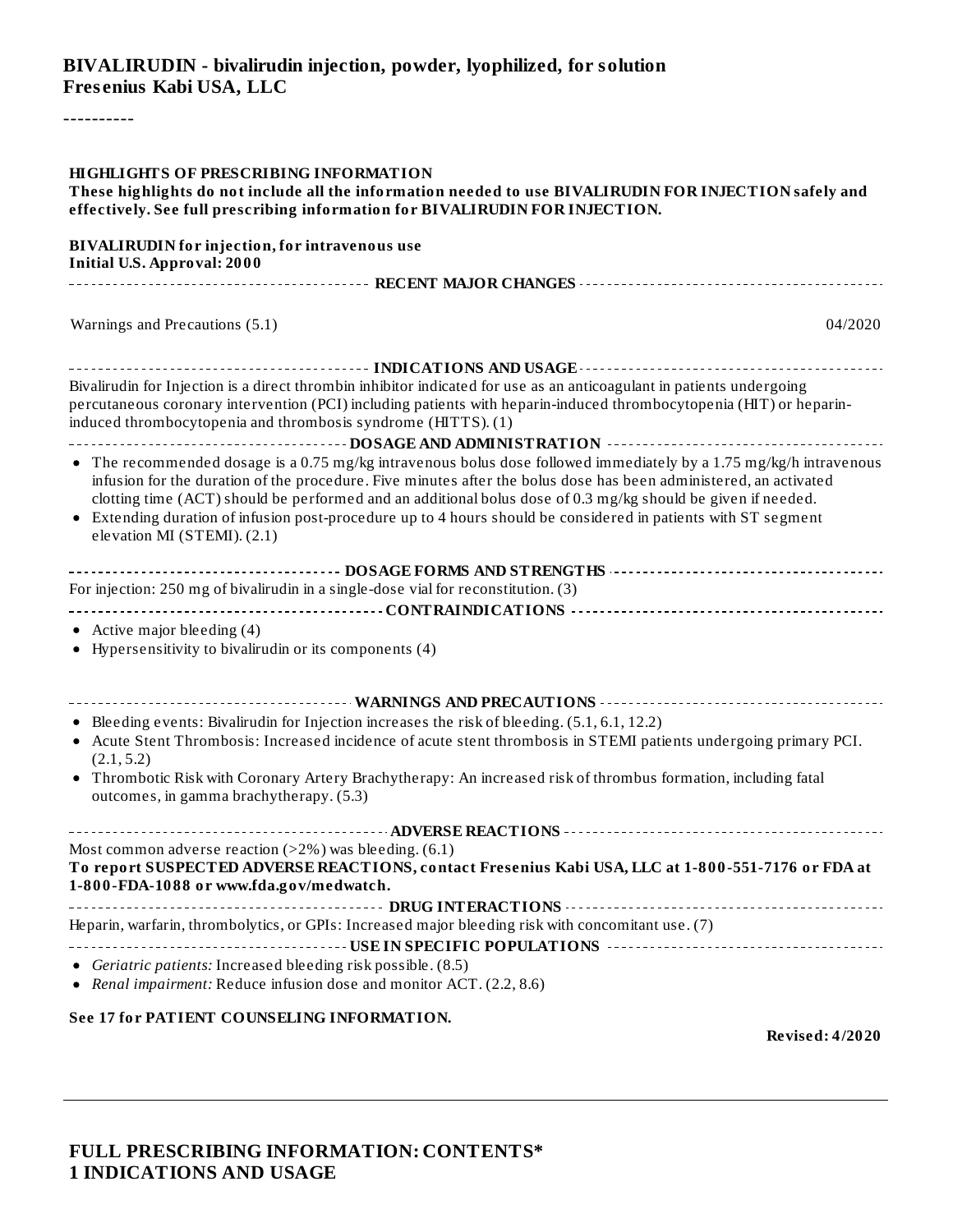#### **BIVALIRUDIN - bivalirudin injection, powder, lyophilized, for solution Fres enius Kabi USA, LLC**

----------

| <b>HIGHLIGHTS OF PRESCRIBING INFORMATION</b><br>These highlights do not include all the information needed to use BIVALIRUDIN FOR INJECTION safely and<br>effectively. See full prescribing information for BIVALIRUDIN FOR INJECTION.                                                                                                                                                                                                                                                                   |
|----------------------------------------------------------------------------------------------------------------------------------------------------------------------------------------------------------------------------------------------------------------------------------------------------------------------------------------------------------------------------------------------------------------------------------------------------------------------------------------------------------|
| <b>BIVALIRUDIN</b> for injection, for intravenous use<br><b>Initial U.S. Approval: 2000</b>                                                                                                                                                                                                                                                                                                                                                                                                              |
|                                                                                                                                                                                                                                                                                                                                                                                                                                                                                                          |
| Warnings and Precautions (5.1)<br>04/2020                                                                                                                                                                                                                                                                                                                                                                                                                                                                |
| Bivalirudin for Injection is a direct thrombin inhibitor indicated for use as an anticoagulant in patients undergoing<br>percutaneous coronary intervention (PCI) including patients with heparin-induced thrombocytopenia (HIT) or heparin-<br>induced thrombocytopenia and thrombosis syndrome (HITTS). (1)                                                                                                                                                                                            |
| • The recommended dosage is a 0.75 mg/kg intravenous bolus dose followed immediately by a 1.75 mg/kg/h intravenous<br>infusion for the duration of the procedure. Five minutes after the bolus dose has been administered, an activated<br>clotting time (ACT) should be performed and an additional bolus dose of 0.3 mg/kg should be given if needed.<br>• Extending duration of infusion post-procedure up to 4 hours should be considered in patients with ST segment<br>elevation MI (STEMI). (2.1) |
| For injection: 250 mg of bivalirudin in a single-dose vial for reconstitution. (3)<br>• Active major bleeding $(4)$                                                                                                                                                                                                                                                                                                                                                                                      |
| • Hypersensitivity to bivalirudin or its components (4)                                                                                                                                                                                                                                                                                                                                                                                                                                                  |
| • Bleeding events: Bivalirudin for Injection increases the risk of bleeding. (5.1, 6.1, 12.2)<br>• Acute Stent Thrombosis: Increased incidence of acute stent thrombosis in STEMI patients undergoing primary PCI.<br>(2.1, 5.2)<br>• Thrombotic Risk with Coronary Artery Brachytherapy: An increased risk of thrombus formation, including fatal<br>outcomes, in gamma brachytherapy. (5.3)                                                                                                            |
| Most common adverse reaction $(>2%)$ was bleeding. $(6.1)$<br>To report SUSPECTED ADVERSE REACTIONS, contact Fresenius Kabi USA, LLC at 1-800-551-7176 or FDA at<br>1-800-FDA-1088 or www.fda.gov/medwatch.                                                                                                                                                                                                                                                                                              |
| --------------------<br>Heparin, warfarin, thrombolytics, or GPIs: Increased major bleeding risk with concomitant use. (7)                                                                                                                                                                                                                                                                                                                                                                               |
| <u>________________________</u><br>Geriatric patients: Increased bleeding risk possible. (8.5)<br>Renal impairment: Reduce infusion dose and monitor ACT. (2.2, 8.6)                                                                                                                                                                                                                                                                                                                                     |

#### **See 17 for PATIENT COUNSELING INFORMATION.**

**Revised: 4/2020**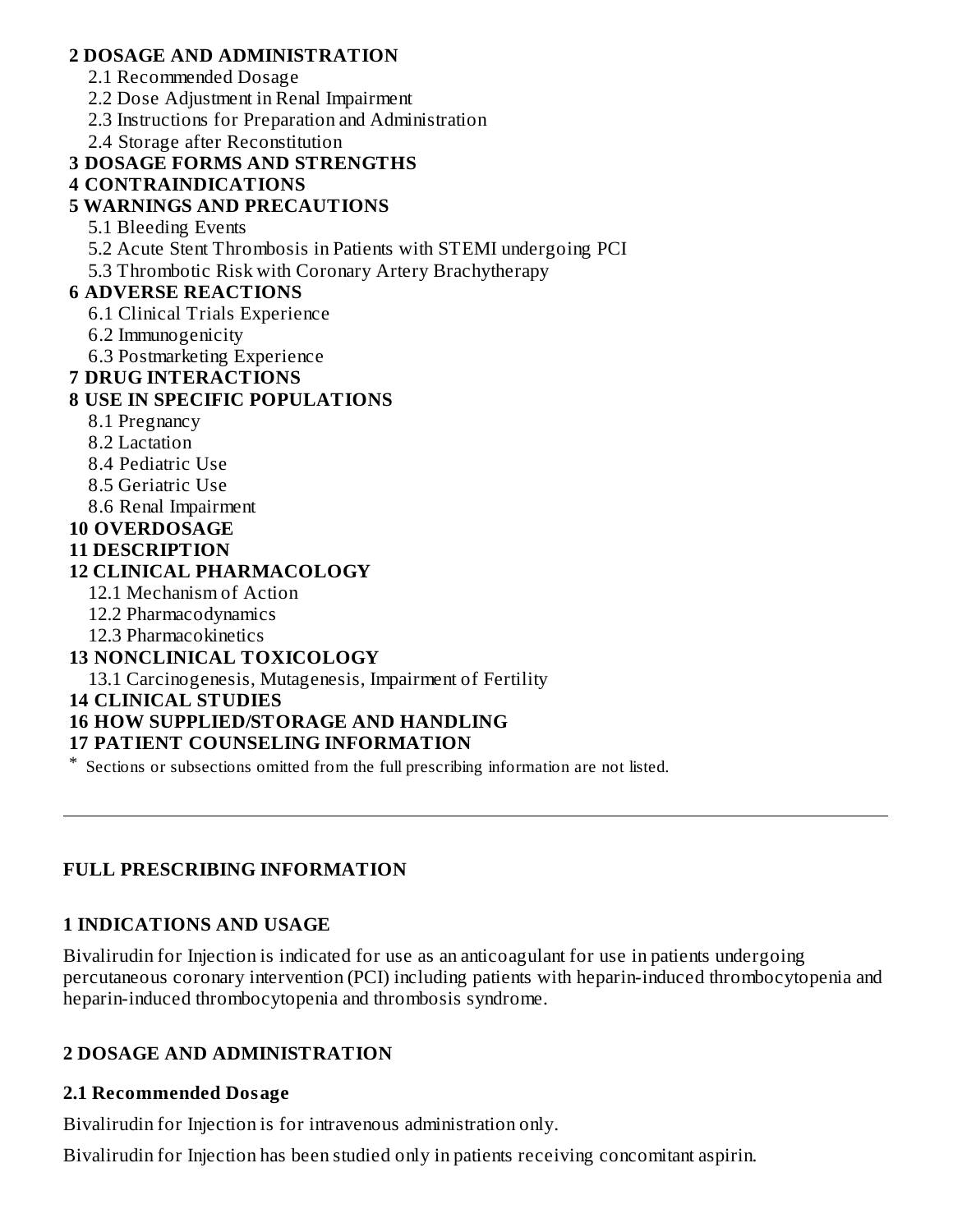#### **2 DOSAGE AND ADMINISTRATION**

- 2.1 Recommended Dosage
- 2.2 Dose Adjustment in Renal Impairment
- 2.3 Instructions for Preparation and Administration
- 2.4 Storage after Reconstitution

## **3 DOSAGE FORMS AND STRENGTHS**

#### **4 CONTRAINDICATIONS**

### **5 WARNINGS AND PRECAUTIONS**

- 5.1 Bleeding Events
- 5.2 Acute Stent Thrombosis in Patients with STEMI undergoing PCI
- 5.3 Thrombotic Risk with Coronary Artery Brachytherapy

#### **6 ADVERSE REACTIONS**

- 6.1 Clinical Trials Experience
- 6.2 Immunogenicity
- 6.3 Postmarketing Experience

#### **7 DRUG INTERACTIONS**

### **8 USE IN SPECIFIC POPULATIONS**

- 8.1 Pregnancy
- 8.2 Lactation
- 8.4 Pediatric Use
- 8.5 Geriatric Use
- 8.6 Renal Impairment

#### **10 OVERDOSAGE**

#### **11 DESCRIPTION**

#### **12 CLINICAL PHARMACOLOGY**

- 12.1 Mechanism of Action
- 12.2 Pharmacodynamics
- 12.3 Pharmacokinetics

## **13 NONCLINICAL TOXICOLOGY**

13.1 Carcinogenesis, Mutagenesis, Impairment of Fertility

#### **14 CLINICAL STUDIES**

## **16 HOW SUPPLIED/STORAGE AND HANDLING**

#### **17 PATIENT COUNSELING INFORMATION**

\* Sections or subsections omitted from the full prescribing information are not listed.

#### **FULL PRESCRIBING INFORMATION**

## **1 INDICATIONS AND USAGE**

Bivalirudin for Injection is indicated for use as an anticoagulant for use in patients undergoing percutaneous coronary intervention (PCI) including patients with heparin-induced thrombocytopenia and heparin-induced thrombocytopenia and thrombosis syndrome.

## **2 DOSAGE AND ADMINISTRATION**

#### **2.1 Recommended Dosage**

Bivalirudin for Injection is for intravenous administration only.

Bivalirudin for Injection has been studied only in patients receiving concomitant aspirin.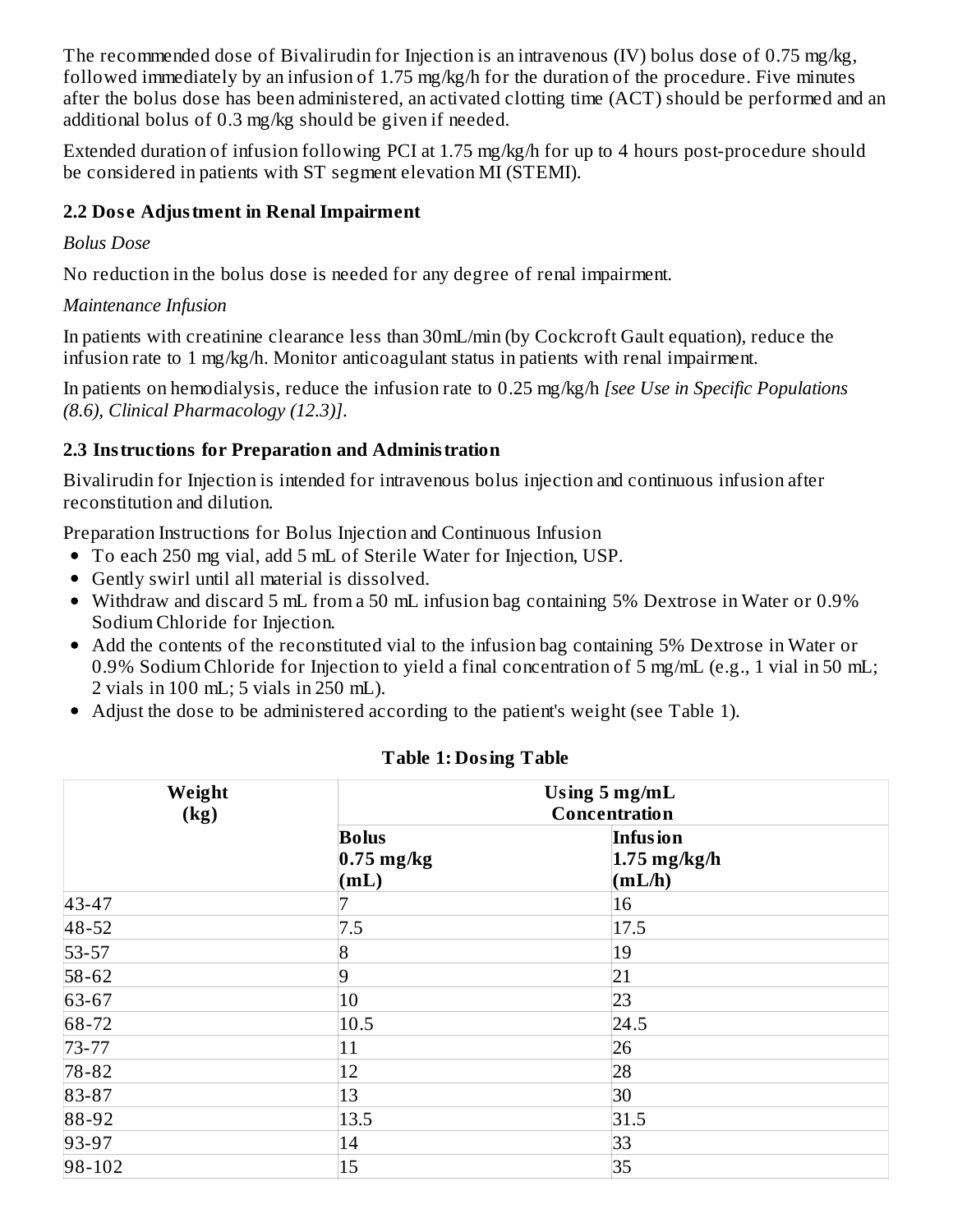The recommended dose of Bivalirudin for Injection is an intravenous (IV) bolus dose of 0.75 mg/kg, followed immediately by an infusion of 1.75 mg/kg/h for the duration of the procedure. Five minutes after the bolus dose has been administered, an activated clotting time (ACT) should be performed and an additional bolus of 0.3 mg/kg should be given if needed.

Extended duration of infusion following PCI at 1.75 mg/kg/h for up to 4 hours post-procedure should be considered in patients with ST segment elevation MI (STEMI).

## **2.2 Dos e Adjustment in Renal Impairment**

#### *Bolus Dose*

No reduction in the bolus dose is needed for any degree of renal impairment.

### *Maintenance Infusion*

In patients with creatinine clearance less than 30mL/min (by Cockcroft Gault equation), reduce the infusion rate to 1 mg/kg/h. Monitor anticoagulant status in patients with renal impairment.

In patients on hemodialysis, reduce the infusion rate to 0.25 mg/kg/h *[see Use in Specific Populations (8.6), Clinical Pharmacology (12.3)]*.

## **2.3 Instructions for Preparation and Administration**

Bivalirudin for Injection is intended for intravenous bolus injection and continuous infusion after reconstitution and dilution.

Preparation Instructions for Bolus Injection and Continuous Infusion

- To each 250 mg vial, add 5 mL of Sterile Water for Injection, USP.
- Gently swirl until all material is dissolved.
- Withdraw and discard 5 mL from a 50 mL infusion bag containing 5% Dextrose in Water or 0.9% Sodium Chloride for Injection.
- Add the contents of the reconstituted vial to the infusion bag containing 5% Dextrose in Water or 0.9% Sodium Chloride for Injection to yield a final concentration of 5 mg/mL (e.g., 1 vial in 50 mL; 2 vials in 100 mL; 5 vials in 250 mL).
- Adjust the dose to be administered according to the patient's weight (see Table 1).

| Weight<br>(kg) | Using $5 \text{ mg/mL}$<br><b>Concentration</b> |                                      |  |
|----------------|-------------------------------------------------|--------------------------------------|--|
|                | <b>Bolus</b><br>$0.75$ mg/kg<br>(mL)            | Infusion<br>$1.75$ mg/kg/h<br>(mL/h) |  |
| 43-47          |                                                 | 16                                   |  |
| 48-52          | 7.5                                             | 17.5                                 |  |
| 53-57          | $\overline{8}$                                  | 19                                   |  |
| 58-62          | $\vert 9$                                       | 21                                   |  |
| 63-67          | 10                                              | 23                                   |  |
| 68-72          | 10.5                                            | 24.5                                 |  |
| 73-77          | 11                                              | 26                                   |  |
| 78-82          | 12                                              | 28                                   |  |
| 83-87          | 13                                              | 30                                   |  |
| 88-92          | 13.5                                            | 31.5                                 |  |
| 93-97          | 14                                              | 33                                   |  |
| 98-102         | 15                                              | 35                                   |  |

#### **Table 1: Dosing Table**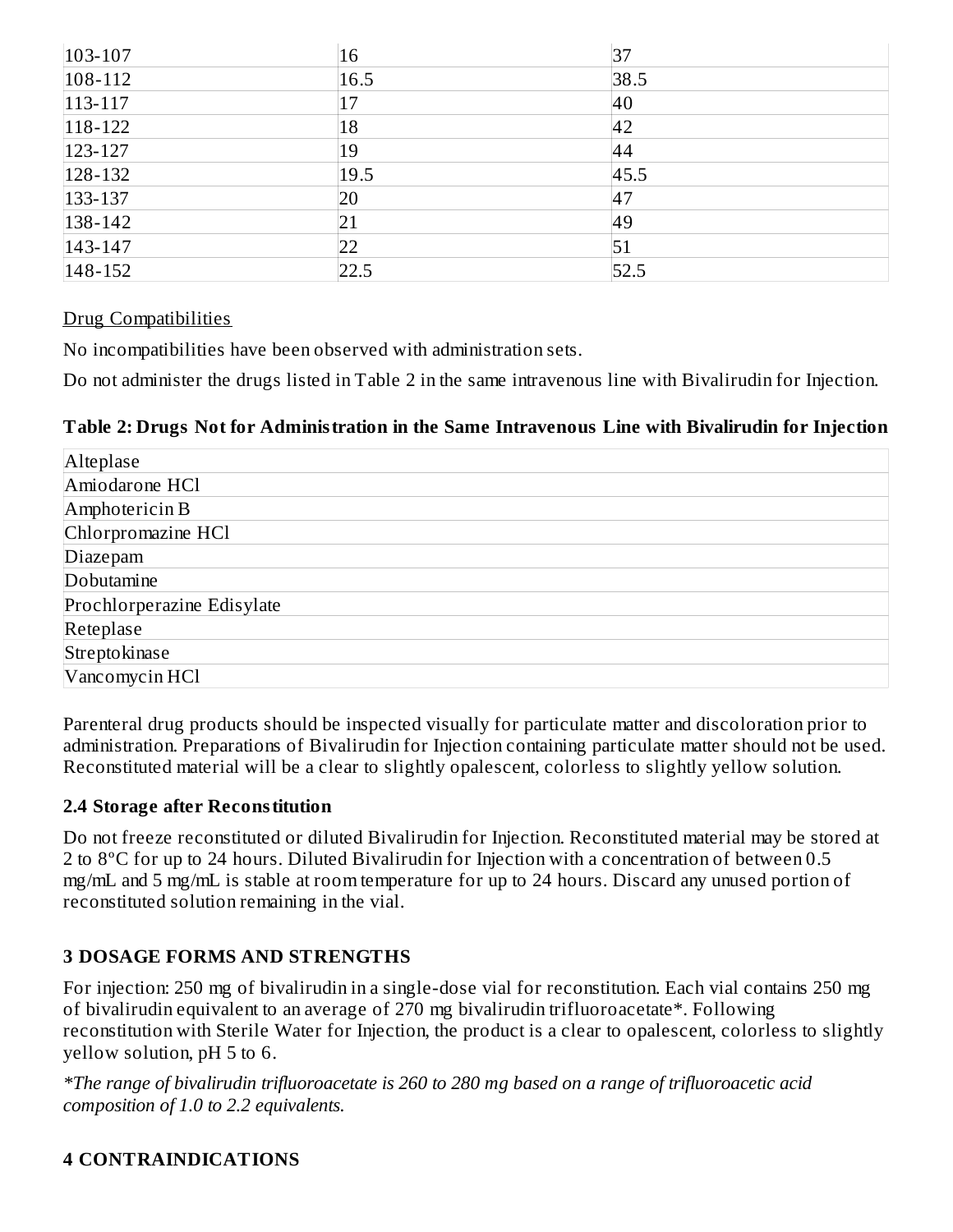| $ 103 - 107$  | 16   | 37   |
|---------------|------|------|
| $ 108-112 $   | 16.5 | 38.5 |
| $113 - 117$   | 17   | 40   |
| $118 - 122$   | 18   | 42   |
| $123 - 127$   | 19   | 44   |
| $ 128-132 $   | 19.5 | 45.5 |
| $133 - 137$   | 20   | 47   |
| $ 138 - 142 $ | 21   | 49   |
| $143 - 147$   | 22   | 51   |
| $ 148-152 $   | 22.5 | 52.5 |

#### Drug Compatibilities

No incompatibilities have been observed with administration sets.

Do not administer the drugs listed in Table 2 in the same intravenous line with Bivalirudin for Injection.

#### **Table 2: Drugs Not for Administration in the Same Intravenous Line with Bivalirudin for Injection**

| Alteplase                  |
|----------------------------|
| Amiodarone HCl             |
| Amphotericin B             |
| Chlorpromazine HCl         |
| Diazepam                   |
| Dobutamine                 |
| Prochlorperazine Edisylate |
| Reteplase                  |
| Streptokinase              |
| Vancomycin HCl             |

Parenteral drug products should be inspected visually for particulate matter and discoloration prior to administration. Preparations of Bivalirudin for Injection containing particulate matter should not be used. Reconstituted material will be a clear to slightly opalescent, colorless to slightly yellow solution.

#### **2.4 Storage after Reconstitution**

Do not freeze reconstituted or diluted Bivalirudin for Injection. Reconstituted material may be stored at 2 to 8ºC for up to 24 hours. Diluted Bivalirudin for Injection with a concentration of between 0.5 mg/mL and 5 mg/mL is stable at room temperature for up to 24 hours. Discard any unused portion of reconstituted solution remaining in the vial.

## **3 DOSAGE FORMS AND STRENGTHS**

For injection: 250 mg of bivalirudin in a single-dose vial for reconstitution. Each vial contains 250 mg of bivalirudin equivalent to an average of 270 mg bivalirudin trifluoroacetate\*. Following reconstitution with Sterile Water for Injection, the product is a clear to opalescent, colorless to slightly yellow solution, pH 5 to 6.

*\*The range of bivalirudin trifluoroacetate is 260 to 280 mg based on a range of trifluoroacetic acid composition of 1.0 to 2.2 equivalents.*

#### **4 CONTRAINDICATIONS**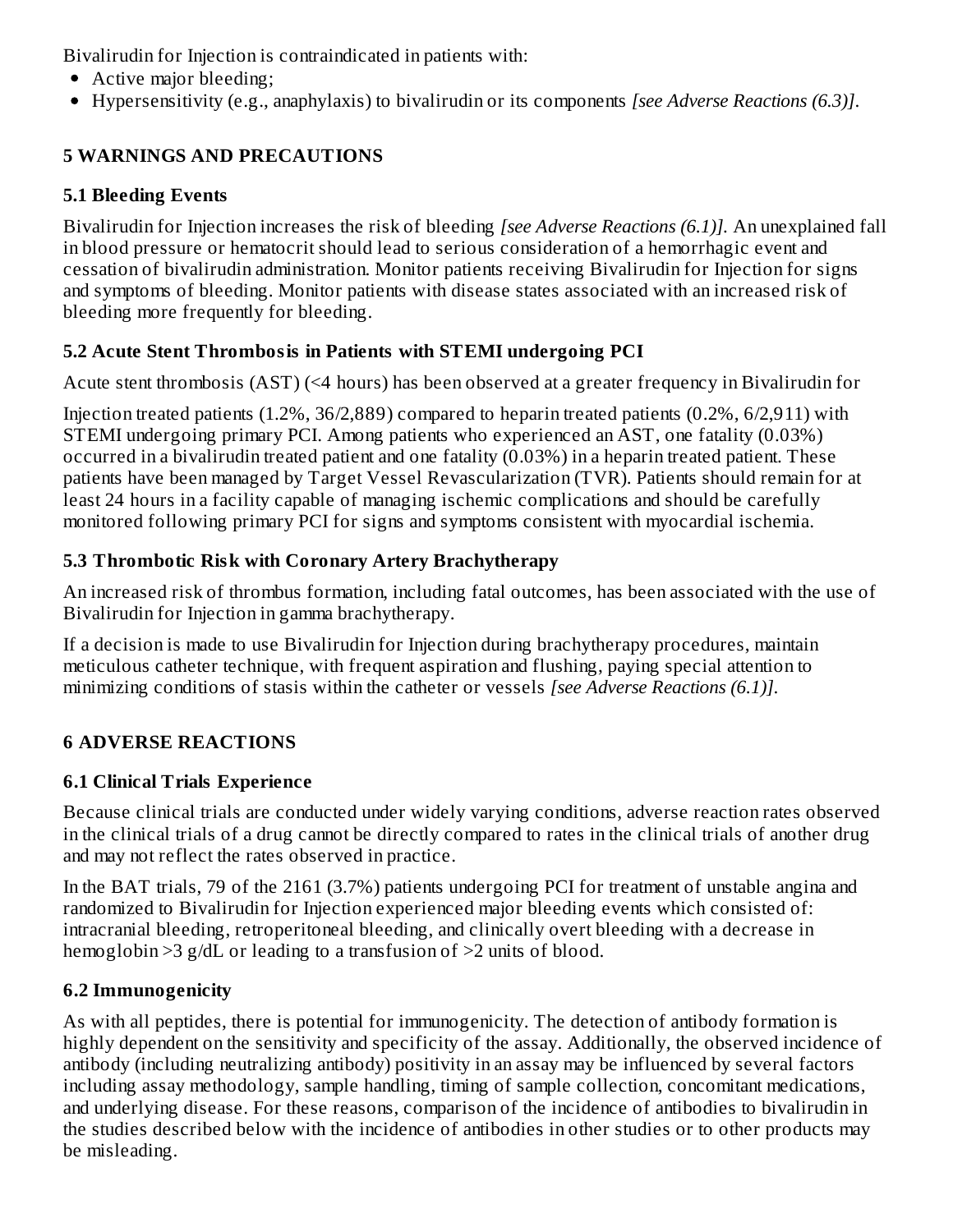Bivalirudin for Injection is contraindicated in patients with:

- Active major bleeding;
- Hypersensitivity (e.g., anaphylaxis) to bivalirudin or its components *[see Adverse Reactions (6.3)]*.

# **5 WARNINGS AND PRECAUTIONS**

## **5.1 Bleeding Events**

Bivalirudin for Injection increases the risk of bleeding *[see Adverse Reactions (6.1)].* An unexplained fall in blood pressure or hematocrit should lead to serious consideration of a hemorrhagic event and cessation of bivalirudin administration. Monitor patients receiving Bivalirudin for Injection for signs and symptoms of bleeding. Monitor patients with disease states associated with an increased risk of bleeding more frequently for bleeding.

## **5.2 Acute Stent Thrombosis in Patients with STEMI undergoing PCI**

Acute stent thrombosis (AST) (<4 hours) has been observed at a greater frequency in Bivalirudin for

Injection treated patients (1.2%, 36/2,889) compared to heparin treated patients (0.2%, 6/2,911) with STEMI undergoing primary PCI. Among patients who experienced an AST, one fatality (0.03%) occurred in a bivalirudin treated patient and one fatality (0.03%) in a heparin treated patient. These patients have been managed by Target Vessel Revascularization (TVR). Patients should remain for at least 24 hours in a facility capable of managing ischemic complications and should be carefully monitored following primary PCI for signs and symptoms consistent with myocardial ischemia.

## **5.3 Thrombotic Risk with Coronary Artery Brachytherapy**

An increased risk of thrombus formation, including fatal outcomes, has been associated with the use of Bivalirudin for Injection in gamma brachytherapy.

If a decision is made to use Bivalirudin for Injection during brachytherapy procedures, maintain meticulous catheter technique, with frequent aspiration and flushing, paying special attention to minimizing conditions of stasis within the catheter or vessels *[see Adverse Reactions (6.1)]*.

# **6 ADVERSE REACTIONS**

# **6.1 Clinical Trials Experience**

Because clinical trials are conducted under widely varying conditions, adverse reaction rates observed in the clinical trials of a drug cannot be directly compared to rates in the clinical trials of another drug and may not reflect the rates observed in practice.

In the BAT trials, 79 of the 2161 (3.7%) patients undergoing PCI for treatment of unstable angina and randomized to Bivalirudin for Injection experienced major bleeding events which consisted of: intracranial bleeding, retroperitoneal bleeding, and clinically overt bleeding with a decrease in hemoglobin >3 g/dL or leading to a transfusion of >2 units of blood.

# **6.2 Immunogenicity**

As with all peptides, there is potential for immunogenicity. The detection of antibody formation is highly dependent on the sensitivity and specificity of the assay. Additionally, the observed incidence of antibody (including neutralizing antibody) positivity in an assay may be influenced by several factors including assay methodology, sample handling, timing of sample collection, concomitant medications, and underlying disease. For these reasons, comparison of the incidence of antibodies to bivalirudin in the studies described below with the incidence of antibodies in other studies or to other products may be misleading.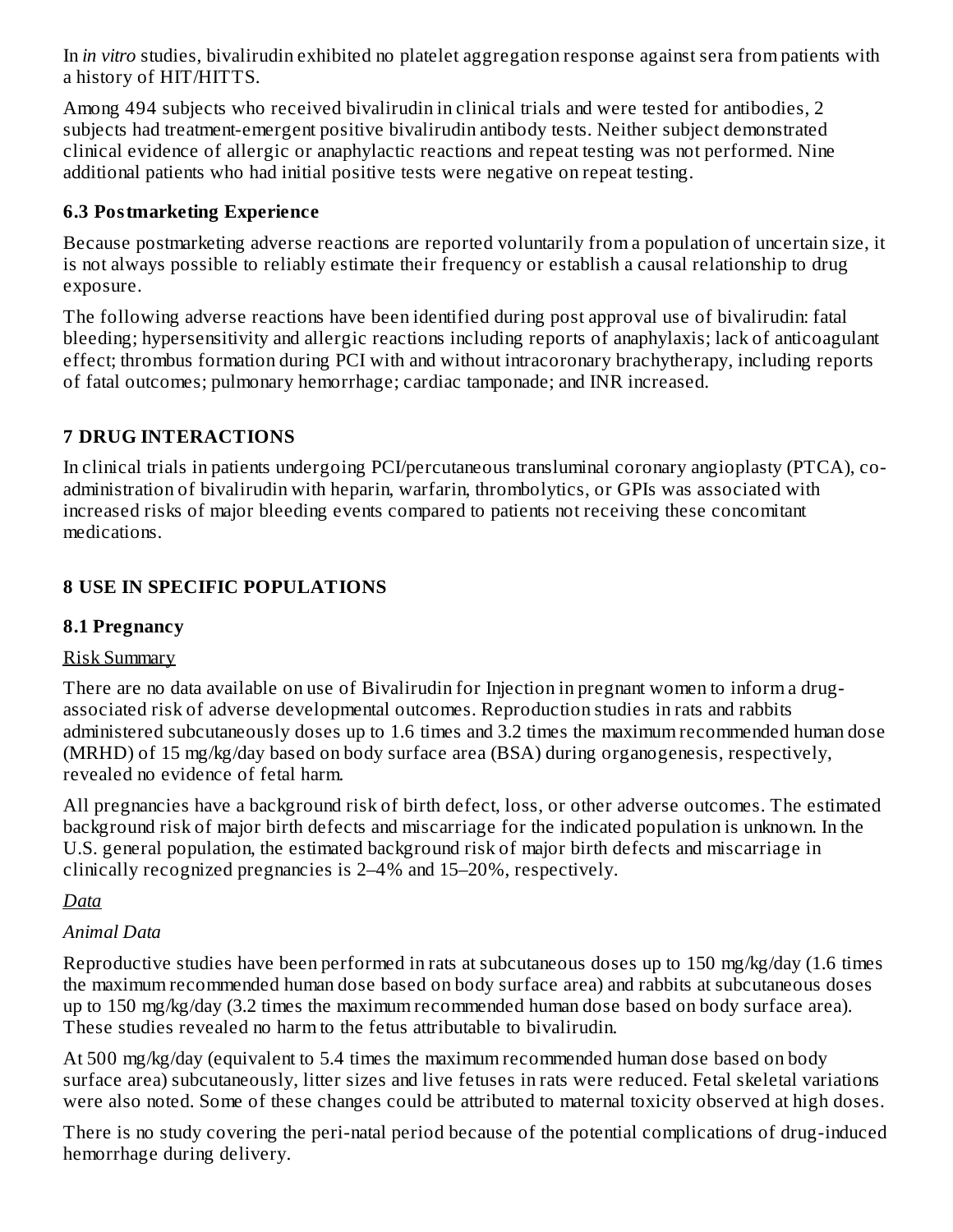In *in vitro* studies, bivalirudin exhibited no platelet aggregation response against sera from patients with a history of HIT/HITTS.

Among 494 subjects who received bivalirudin in clinical trials and were tested for antibodies, 2 subjects had treatment-emergent positive bivalirudin antibody tests. Neither subject demonstrated clinical evidence of allergic or anaphylactic reactions and repeat testing was not performed. Nine additional patients who had initial positive tests were negative on repeat testing.

### **6.3 Postmarketing Experience**

Because postmarketing adverse reactions are reported voluntarily from a population of uncertain size, it is not always possible to reliably estimate their frequency or establish a causal relationship to drug exposure.

The following adverse reactions have been identified during post approval use of bivalirudin: fatal bleeding; hypersensitivity and allergic reactions including reports of anaphylaxis; lack of anticoagulant effect; thrombus formation during PCI with and without intracoronary brachytherapy, including reports of fatal outcomes; pulmonary hemorrhage; cardiac tamponade; and INR increased.

## **7 DRUG INTERACTIONS**

In clinical trials in patients undergoing PCI/percutaneous transluminal coronary angioplasty (PTCA), coadministration of bivalirudin with heparin, warfarin, thrombolytics, or GPIs was associated with increased risks of major bleeding events compared to patients not receiving these concomitant medications.

## **8 USE IN SPECIFIC POPULATIONS**

## **8.1 Pregnancy**

## Risk Summary

There are no data available on use of Bivalirudin for Injection in pregnant women to inform a drugassociated risk of adverse developmental outcomes. Reproduction studies in rats and rabbits administered subcutaneously doses up to 1.6 times and 3.2 times the maximum recommended human dose (MRHD) of 15 mg/kg/day based on body surface area (BSA) during organogenesis, respectively, revealed no evidence of fetal harm.

All pregnancies have a background risk of birth defect, loss, or other adverse outcomes. The estimated background risk of major birth defects and miscarriage for the indicated population is unknown. In the U.S. general population, the estimated background risk of major birth defects and miscarriage in clinically recognized pregnancies is 2–4% and 15–20%, respectively.

## *Data*

## *Animal Data*

Reproductive studies have been performed in rats at subcutaneous doses up to 150 mg/kg/day (1.6 times the maximum recommended human dose based on body surface area) and rabbits at subcutaneous doses up to 150 mg/kg/day (3.2 times the maximum recommended human dose based on body surface area). These studies revealed no harm to the fetus attributable to bivalirudin.

At 500 mg/kg/day (equivalent to 5.4 times the maximum recommended human dose based on body surface area) subcutaneously, litter sizes and live fetuses in rats were reduced. Fetal skeletal variations were also noted. Some of these changes could be attributed to maternal toxicity observed at high doses.

There is no study covering the peri-natal period because of the potential complications of drug-induced hemorrhage during delivery.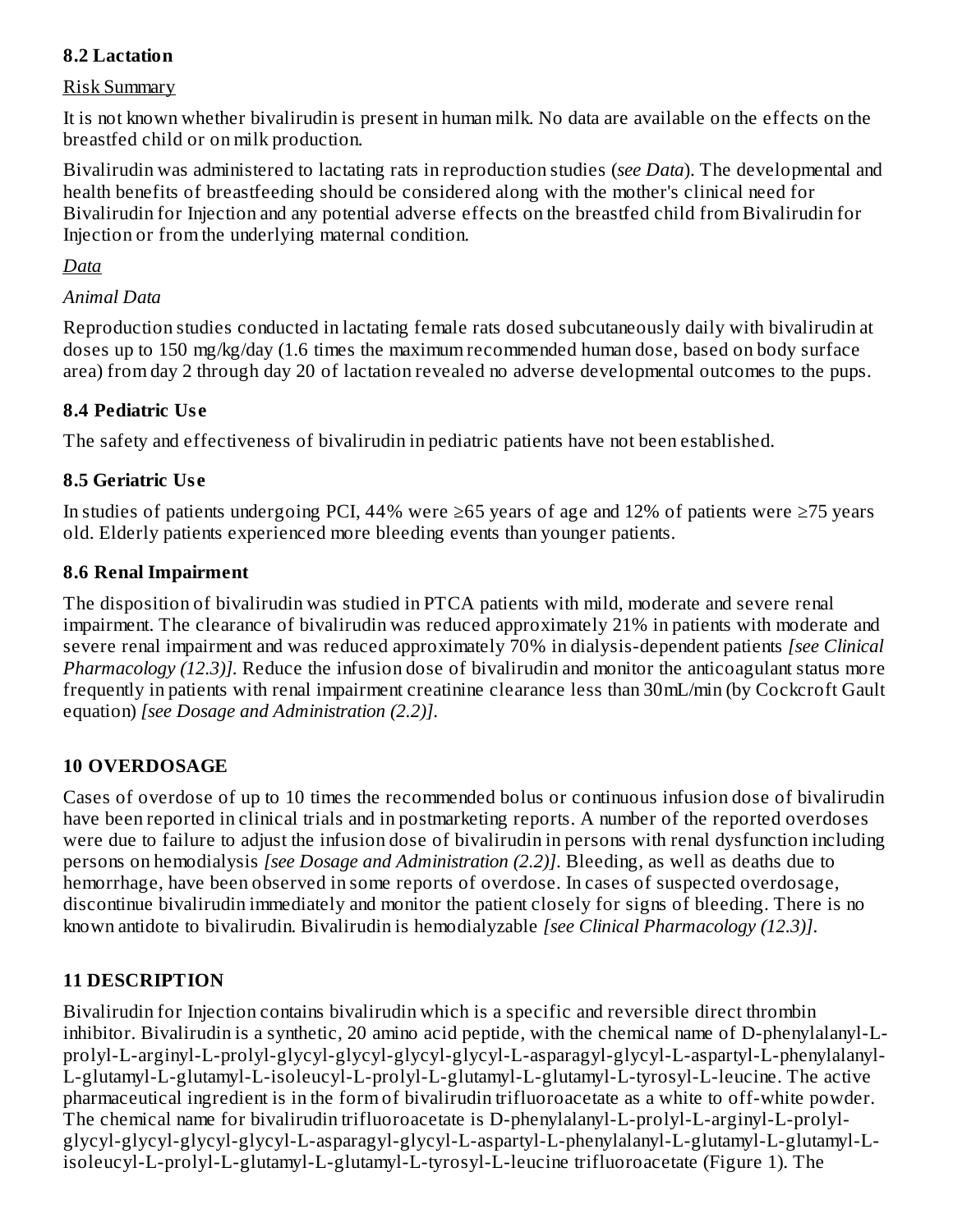## **8.2 Lactation**

#### Risk Summary

It is not known whether bivalirudin is present in human milk. No data are available on the effects on the breastfed child or on milk production.

Bivalirudin was administered to lactating rats in reproduction studies (*see Data*). The developmental and health benefits of breastfeeding should be considered along with the mother's clinical need for Bivalirudin for Injection and any potential adverse effects on the breastfed child from Bivalirudin for Injection or from the underlying maternal condition.

#### *Data*

#### *Animal Data*

Reproduction studies conducted in lactating female rats dosed subcutaneously daily with bivalirudin at doses up to 150 mg/kg/day (1.6 times the maximum recommended human dose, based on body surface area) from day 2 through day 20 of lactation revealed no adverse developmental outcomes to the pups.

#### **8.4 Pediatric Us e**

The safety and effectiveness of bivalirudin in pediatric patients have not been established.

### **8.5 Geriatric Us e**

In studies of patients undergoing PCI, 44% were ≥65 years of age and 12% of patients were ≥75 years old. Elderly patients experienced more bleeding events than younger patients.

### **8.6 Renal Impairment**

The disposition of bivalirudin was studied in PTCA patients with mild, moderate and severe renal impairment. The clearance of bivalirudin was reduced approximately 21% in patients with moderate and severe renal impairment and was reduced approximately 70% in dialysis-dependent patients *[see Clinical Pharmacology (12.3)].* Reduce the infusion dose of bivalirudin and monitor the anticoagulant status more frequently in patients with renal impairment creatinine clearance less than 30mL/min (by Cockcroft Gault equation) *[see Dosage and Administration (2.2)]*.

#### **10 OVERDOSAGE**

Cases of overdose of up to 10 times the recommended bolus or continuous infusion dose of bivalirudin have been reported in clinical trials and in postmarketing reports. A number of the reported overdoses were due to failure to adjust the infusion dose of bivalirudin in persons with renal dysfunction including persons on hemodialysis *[see Dosage and Administration (2.2)]*. Bleeding, as well as deaths due to hemorrhage, have been observed in some reports of overdose. In cases of suspected overdosage, discontinue bivalirudin immediately and monitor the patient closely for signs of bleeding. There is no known antidote to bivalirudin. Bivalirudin is hemodialyzable *[see Clinical Pharmacology (12.3)]*.

## **11 DESCRIPTION**

Bivalirudin for Injection contains bivalirudin which is a specific and reversible direct thrombin inhibitor. Bivalirudin is a synthetic, 20 amino acid peptide, with the chemical name of D-phenylalanyl-Lprolyl-L-arginyl-L-prolyl-glycyl-glycyl-glycyl-glycyl-L-asparagyl-glycyl-L-aspartyl-L-phenylalanyl-L-glutamyl-L-glutamyl-L-isoleucyl-L-prolyl-L-glutamyl-L-glutamyl-L-tyrosyl-L-leucine. The active pharmaceutical ingredient is in the form of bivalirudin trifluoroacetate as a white to off-white powder. The chemical name for bivalirudin trifluoroacetate is D-phenylalanyl-L-prolyl-L-arginyl-L-prolylglycyl-glycyl-glycyl-glycyl-L-asparagyl-glycyl-L-aspartyl-L-phenylalanyl-L-glutamyl-L-glutamyl-Lisoleucyl-L-prolyl-L-glutamyl-L-glutamyl-L-tyrosyl-L-leucine trifluoroacetate (Figure 1). The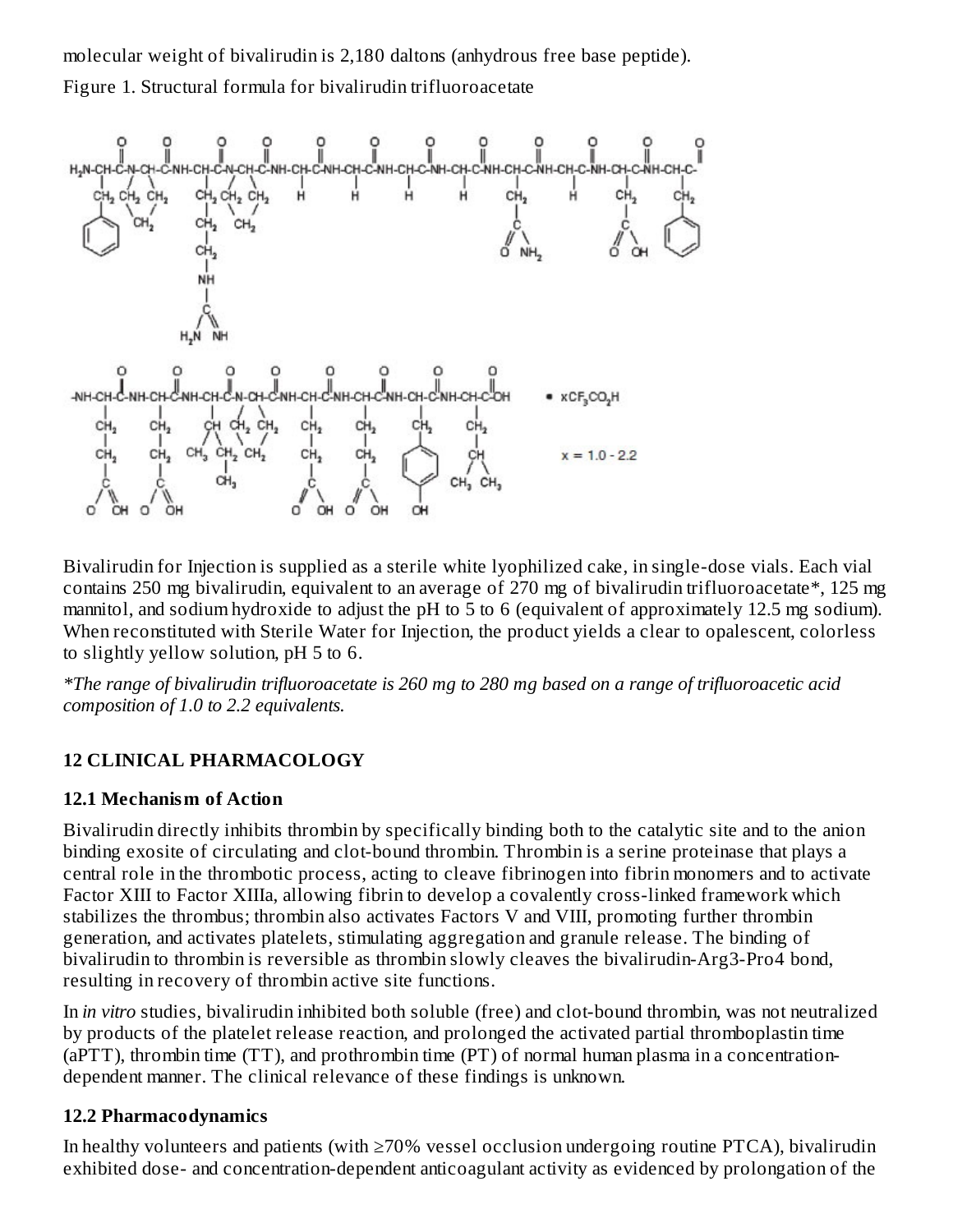molecular weight of bivalirudin is 2,180 daltons (anhydrous free base peptide). Figure 1. Structural formula for bivalirudin trifluoroacetate



Bivalirudin for Injection is supplied as a sterile white lyophilized cake, in single-dose vials. Each vial contains 250 mg bivalirudin, equivalent to an average of 270 mg of bivalirudin trifluoroacetate\*, 125 mg mannitol, and sodium hydroxide to adjust the pH to 5 to 6 (equivalent of approximately 12.5 mg sodium). When reconstituted with Sterile Water for Injection, the product yields a clear to opalescent, colorless to slightly yellow solution, pH 5 to 6.

\*The range of bivalirudin trifluoroacetate is 260 mg to 280 mg based on a range of trifluoroacetic acid *composition of 1.0 to 2.2 equivalents.*

## **12 CLINICAL PHARMACOLOGY**

#### **12.1 Mechanism of Action**

Bivalirudin directly inhibits thrombin by specifically binding both to the catalytic site and to the anion binding exosite of circulating and clot-bound thrombin. Thrombin is a serine proteinase that plays a central role in the thrombotic process, acting to cleave fibrinogen into fibrin monomers and to activate Factor XIII to Factor XIIIa, allowing fibrin to develop a covalently cross-linked framework which stabilizes the thrombus; thrombin also activates Factors V and VIII, promoting further thrombin generation, and activates platelets, stimulating aggregation and granule release. The binding of bivalirudin to thrombin is reversible as thrombin slowly cleaves the bivalirudin-Arg3-Pro4 bond, resulting in recovery of thrombin active site functions.

In *in vitro* studies, bivalirudin inhibited both soluble (free) and clot-bound thrombin, was not neutralized by products of the platelet release reaction, and prolonged the activated partial thromboplastin time (aPTT), thrombin time (TT), and prothrombin time (PT) of normal human plasma in a concentrationdependent manner. The clinical relevance of these findings is unknown.

#### **12.2 Pharmacodynamics**

In healthy volunteers and patients (with ≥70% vessel occlusion undergoing routine PTCA), bivalirudin exhibited dose- and concentration-dependent anticoagulant activity as evidenced by prolongation of the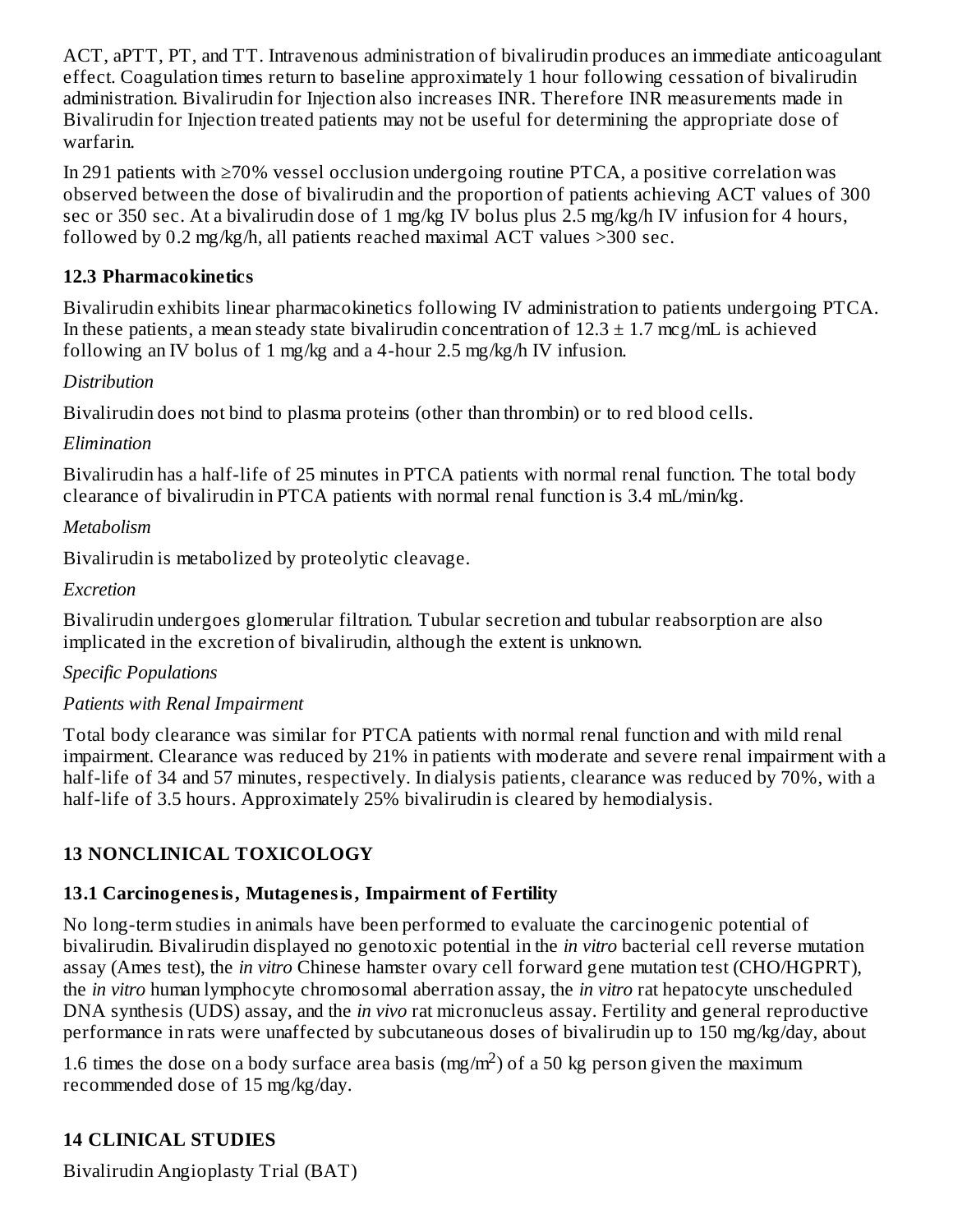ACT, aPTT, PT, and TT. Intravenous administration of bivalirudin produces an immediate anticoagulant effect. Coagulation times return to baseline approximately 1 hour following cessation of bivalirudin administration. Bivalirudin for Injection also increases INR. Therefore INR measurements made in Bivalirudin for Injection treated patients may not be useful for determining the appropriate dose of warfarin.

In 291 patients with ≥70% vessel occlusion undergoing routine PTCA, a positive correlation was observed between the dose of bivalirudin and the proportion of patients achieving ACT values of 300 sec or 350 sec. At a bivalirudin dose of 1 mg/kg IV bolus plus 2.5 mg/kg/h IV infusion for 4 hours, followed by 0.2 mg/kg/h, all patients reached maximal ACT values >300 sec.

### **12.3 Pharmacokinetics**

Bivalirudin exhibits linear pharmacokinetics following IV administration to patients undergoing PTCA. In these patients, a mean steady state bivalirudin concentration of  $12.3 \pm 1.7$  mcg/mL is achieved following an IV bolus of 1 mg/kg and a 4-hour 2.5 mg/kg/h IV infusion.

### *Distribution*

Bivalirudin does not bind to plasma proteins (other than thrombin) or to red blood cells.

### *Elimination*

Bivalirudin has a half-life of 25 minutes in PTCA patients with normal renal function. The total body clearance of bivalirudin in PTCA patients with normal renal function is 3.4 mL/min/kg.

### *Metabolism*

Bivalirudin is metabolized by proteolytic cleavage.

### *Excretion*

Bivalirudin undergoes glomerular filtration. Tubular secretion and tubular reabsorption are also implicated in the excretion of bivalirudin, although the extent is unknown.

## *Specific Populations*

## *Patients with Renal Impairment*

Total body clearance was similar for PTCA patients with normal renal function and with mild renal impairment. Clearance was reduced by 21% in patients with moderate and severe renal impairment with a half-life of 34 and 57 minutes, respectively. In dialysis patients, clearance was reduced by 70%, with a half-life of 3.5 hours. Approximately 25% bivalirudin is cleared by hemodialysis.

## **13 NONCLINICAL TOXICOLOGY**

## **13.1 Carcinogenesis, Mutagenesis, Impairment of Fertility**

No long-term studies in animals have been performed to evaluate the carcinogenic potential of bivalirudin. Bivalirudin displayed no genotoxic potential in the *in vitro* bacterial cell reverse mutation assay (Ames test), the *in vitro* Chinese hamster ovary cell forward gene mutation test (CHO/HGPRT), the *in vitro* human lymphocyte chromosomal aberration assay, the *in vitro* rat hepatocyte unscheduled DNA synthesis (UDS) assay, and the *in vivo* rat micronucleus assay. Fertility and general reproductive performance in rats were unaffected by subcutaneous doses of bivalirudin up to 150 mg/kg/day, about

1.6 times the dose on a body surface area basis (mg/m<sup>2</sup>) of a 50 kg person given the maximum recommended dose of 15 mg/kg/day.

## **14 CLINICAL STUDIES**

Bivalirudin Angioplasty Trial (BAT)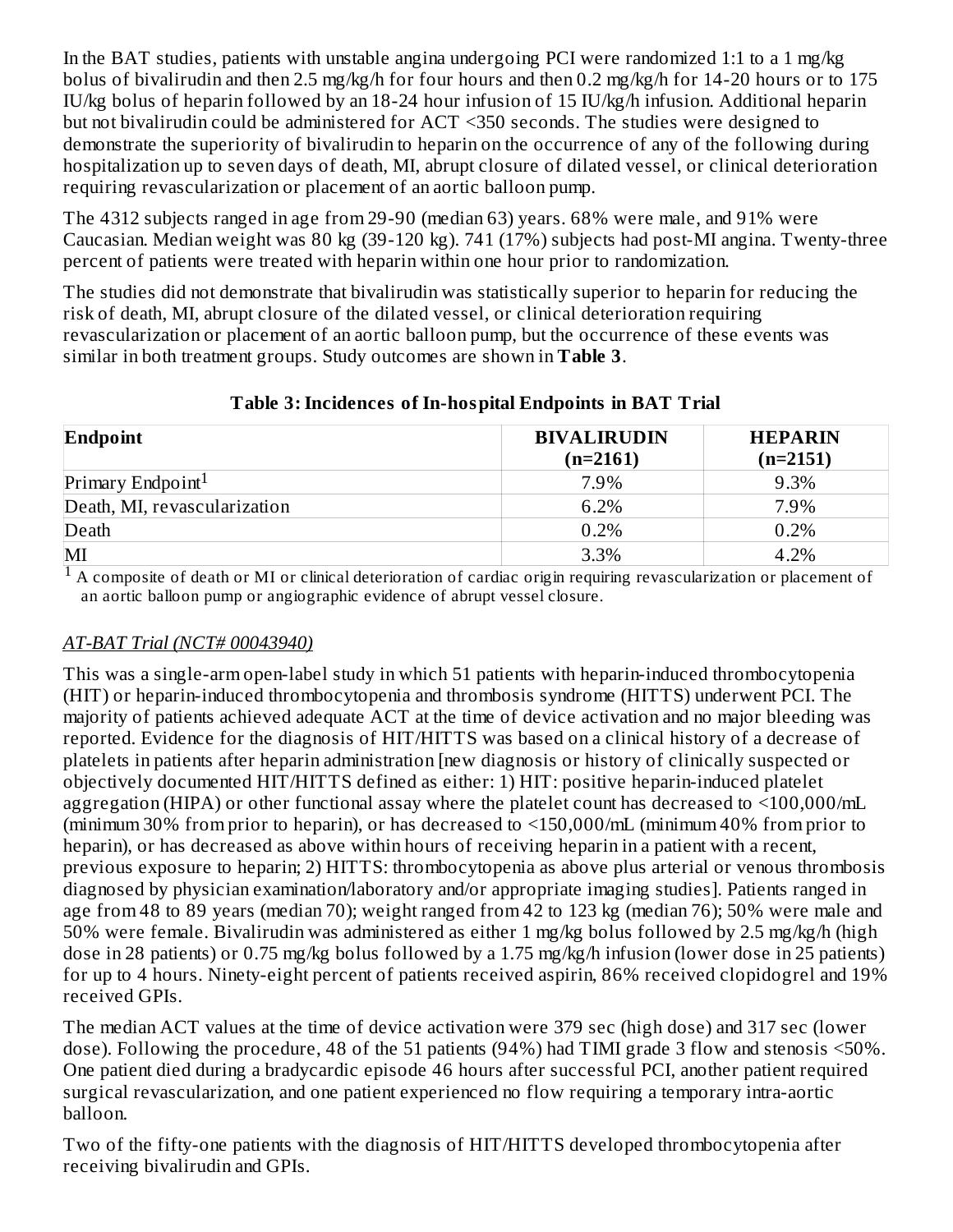In the BAT studies, patients with unstable angina undergoing PCI were randomized 1:1 to a 1 mg/kg bolus of bivalirudin and then 2.5 mg/kg/h for four hours and then 0.2 mg/kg/h for 14-20 hours or to 175 IU/kg bolus of heparin followed by an 18-24 hour infusion of 15 IU/kg/h infusion. Additional heparin but not bivalirudin could be administered for ACT <350 seconds. The studies were designed to demonstrate the superiority of bivalirudin to heparin on the occurrence of any of the following during hospitalization up to seven days of death, MI, abrupt closure of dilated vessel, or clinical deterioration requiring revascularization or placement of an aortic balloon pump.

The 4312 subjects ranged in age from 29-90 (median 63) years. 68% were male, and 91% were Caucasian. Median weight was 80 kg (39-120 kg). 741 (17%) subjects had post-MI angina. Twenty-three percent of patients were treated with heparin within one hour prior to randomization.

The studies did not demonstrate that bivalirudin was statistically superior to heparin for reducing the risk of death, MI, abrupt closure of the dilated vessel, or clinical deterioration requiring revascularization or placement of an aortic balloon pump, but the occurrence of these events was similar in both treatment groups. Study outcomes are shown in **Table 3**.

| Endpoint                      | <b>BIVALIRUDIN</b><br>$(n=2161)$ | <b>HEPARIN</b><br>$(n=2151)$ |  |
|-------------------------------|----------------------------------|------------------------------|--|
| Primary Endpoint <sup>1</sup> | 7.9%                             | 9.3%                         |  |
| Death, MI, revascularization  | 6.2%                             | 7.9%                         |  |
| Death                         | 0.2%                             | 0.2%                         |  |
| MI                            | 3.3%                             | 4.2%                         |  |

**Table 3:Incidences of In-hospital Endpoints in BAT Trial**

 $<sup>1</sup>$  A composite of death or MI or clinical deterioration of cardiac origin requiring revascularization or placement of</sup> an aortic balloon pump or angiographic evidence of abrupt vessel closure.

## *AT-BAT Trial (NCT# 00043940)*

This was a single-arm open-label study in which 51 patients with heparin-induced thrombocytopenia (HIT) or heparin-induced thrombocytopenia and thrombosis syndrome (HITTS) underwent PCI. The majority of patients achieved adequate ACT at the time of device activation and no major bleeding was reported. Evidence for the diagnosis of HIT/HITTS was based on a clinical history of a decrease of platelets in patients after heparin administration [new diagnosis or history of clinically suspected or objectively documented HIT/HITTS defined as either: 1) HIT: positive heparin-induced platelet aggregation (HIPA) or other functional assay where the platelet count has decreased to <100,000/mL (minimum 30% from prior to heparin), or has decreased to <150,000/mL (minimum 40% from prior to heparin), or has decreased as above within hours of receiving heparin in a patient with a recent, previous exposure to heparin; 2) HITTS: thrombocytopenia as above plus arterial or venous thrombosis diagnosed by physician examination/laboratory and/or appropriate imaging studies]. Patients ranged in age from 48 to 89 years (median 70); weight ranged from 42 to 123 kg (median 76); 50% were male and 50% were female. Bivalirudin was administered as either 1 mg/kg bolus followed by 2.5 mg/kg/h (high dose in 28 patients) or 0.75 mg/kg bolus followed by a 1.75 mg/kg/h infusion (lower dose in 25 patients) for up to 4 hours. Ninety-eight percent of patients received aspirin, 86% received clopidogrel and 19% received GPIs.

The median ACT values at the time of device activation were 379 sec (high dose) and 317 sec (lower dose). Following the procedure, 48 of the 51 patients (94%) had TIMI grade 3 flow and stenosis <50%. One patient died during a bradycardic episode 46 hours after successful PCI, another patient required surgical revascularization, and one patient experienced no flow requiring a temporary intra-aortic balloon.

Two of the fifty-one patients with the diagnosis of HIT/HITTS developed thrombocytopenia after receiving bivalirudin and GPIs.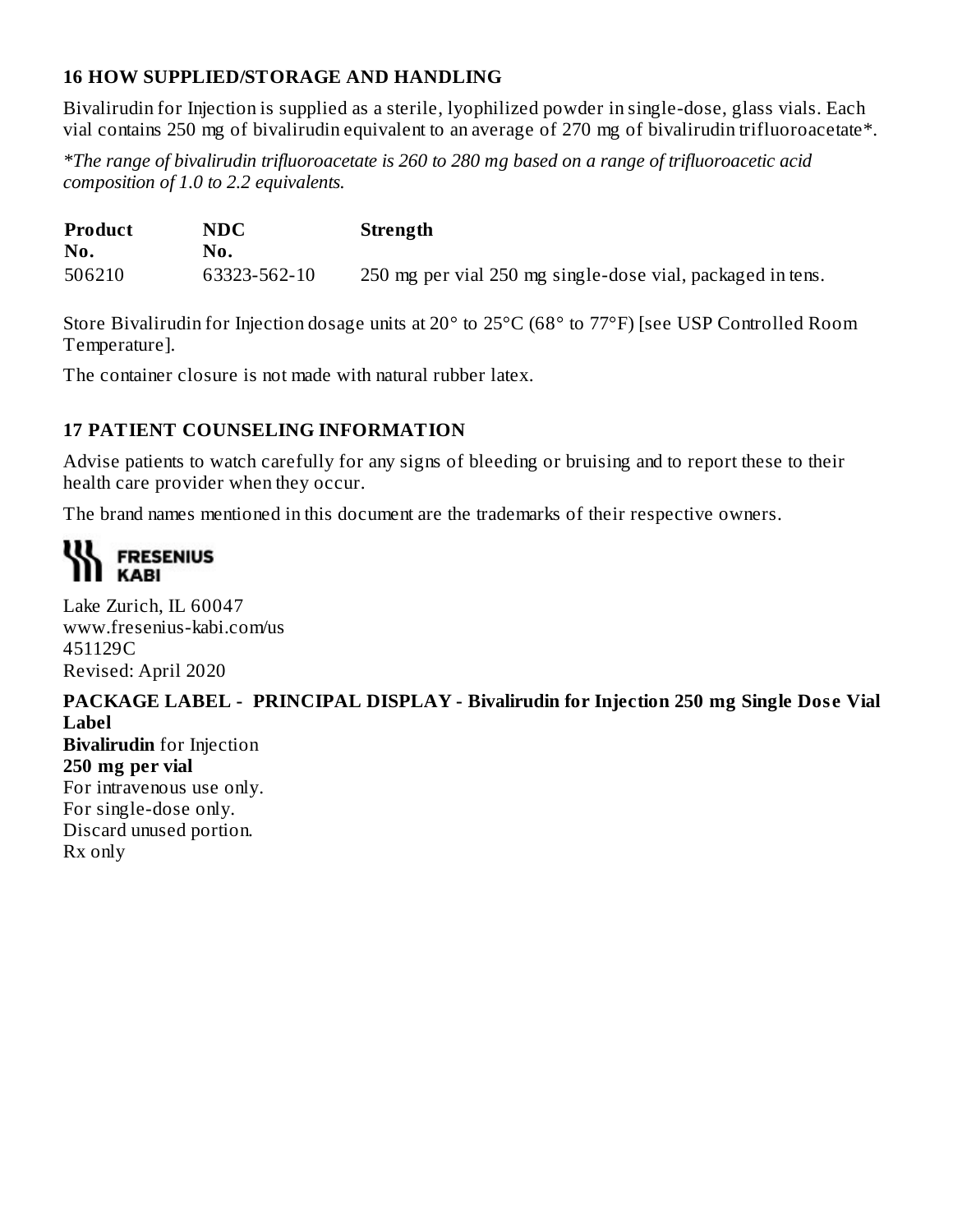## **16 HOW SUPPLIED/STORAGE AND HANDLING**

Bivalirudin for Injection is supplied as a sterile, lyophilized powder in single-dose, glass vials. Each vial contains 250 mg of bivalirudin equivalent to an average of 270 mg of bivalirudin trifluoroacetate\*.

*\*The range of bivalirudin trifluoroacetate is 260 to 280 mg based on a range of trifluoroacetic acid composition of 1.0 to 2.2 equivalents.*

| <b>Product</b> | NDC          | <b>Strength</b>                                            |
|----------------|--------------|------------------------------------------------------------|
| No.            | No.          |                                                            |
| 506210         | 63323-562-10 | 250 mg per vial 250 mg single-dose vial, packaged in tens. |

Store Bivalirudin for Injection dosage units at 20° to 25°C (68° to 77°F) [see USP Controlled Room Temperature].

The container closure is not made with natural rubber latex.

#### **17 PATIENT COUNSELING INFORMATION**

Advise patients to watch carefully for any signs of bleeding or bruising and to report these to their health care provider when they occur.

The brand names mentioned in this document are the trademarks of their respective owners.

## **III** FRESENIUS **KABI**

Lake Zurich, IL 60047 www.fresenius-kabi.com/us 451129C Revised: April 2020

**PACKAGE LABEL - PRINCIPAL DISPLAY - Bivalirudin for Injection 250 mg Single Dos e Vial Label**

**Bivalirudin** for Injection **250 mg per vial** For intravenous use only. For single-dose only. Discard unused portion. Rx only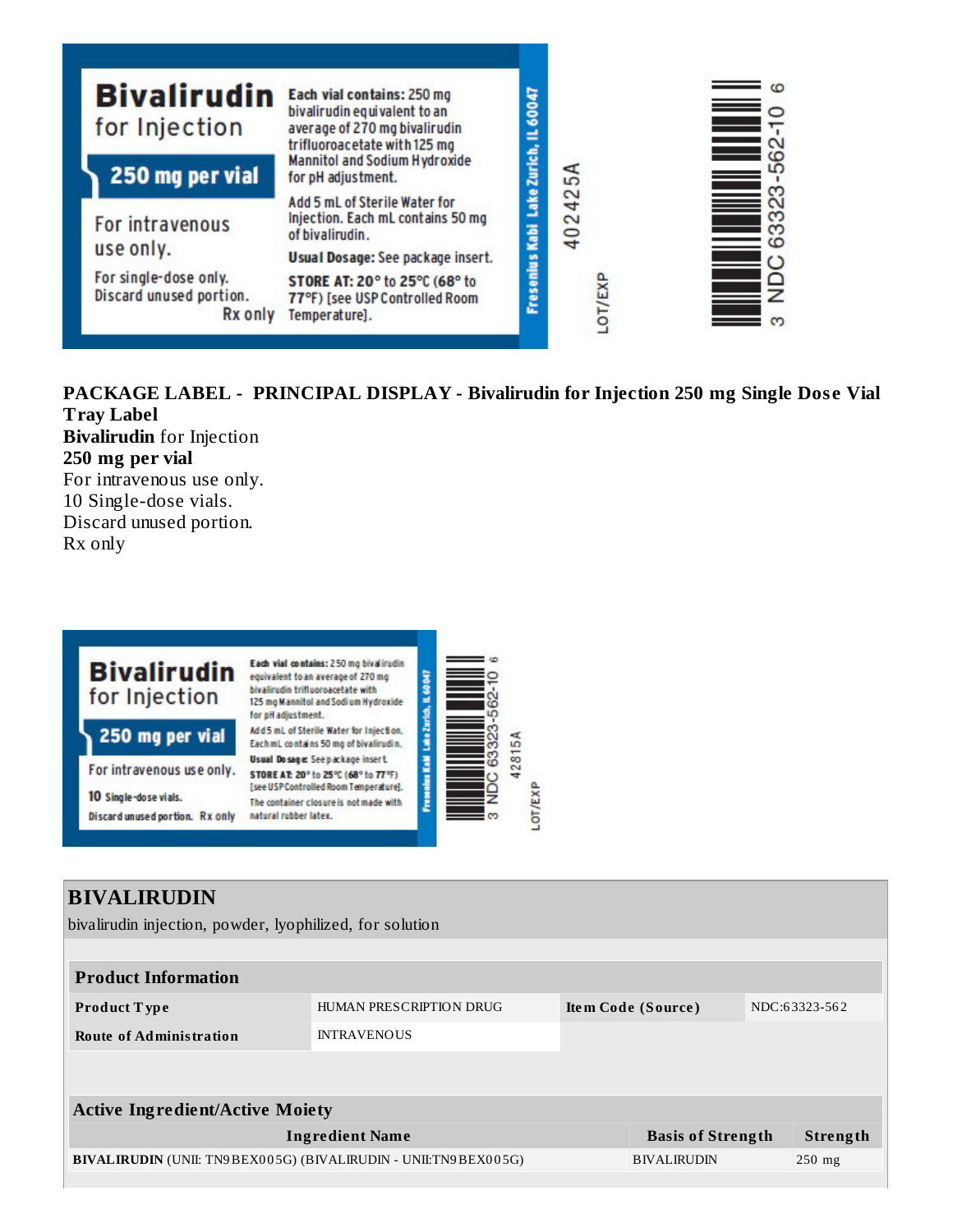| <b>Bivalirudin</b><br>for Injection<br>250 mg per vial        | Each vial contains: 250 mg<br>bivalirudin equivalent to an<br>average of 270 mg bivalirudin<br>trifluoroacetate with 125 mg<br><b>Mannitol and Sodium Hydroxide</b><br>for pH adjustment. | Lake Zurich, IL 60047 | 54            | $\qquad \qquad \blacksquare$<br>ເດ |
|---------------------------------------------------------------|-------------------------------------------------------------------------------------------------------------------------------------------------------------------------------------------|-----------------------|---------------|------------------------------------|
| For intravenous                                               | Add 5 mL of Sterile Water for<br>Injection. Each mL contains 50 mg<br>of bivalirudin.                                                                                                     | Kabi                  | 40242         | m<br>Ē<br>S<br>S<br>ဖ              |
| use only.<br>For single-dose only.<br>Discard unused portion. | Usual Dosage: See package insert.<br>STORE AT: 20° to 25°C (68° to<br>77°F) [see USP Controlled Room                                                                                      | <b>Fresenius</b>      |               | ≏                                  |
| Rx only                                                       | Temperature].                                                                                                                                                                             |                       | <b>OT/EXF</b> |                                    |

# **PACKAGE LABEL - PRINCIPAL DISPLAY - Bivalirudin for Injection 250 mg Single Dos e Vial Tray Label**

**Bivalirudin** for Injection **250 mg per vial** For intravenous use only. 10 Single-dose vials. Discard unused portion. Rx only



## **BIVALIRUDIN**

bivalirudin injection, powder, lyophilized, for solution

| HUMAN PRESCRIPTION DRUG                                               | Item Code (Source) | NDC:63323-562            |  |  |  |
|-----------------------------------------------------------------------|--------------------|--------------------------|--|--|--|
| <b>INTRAVENOUS</b>                                                    |                    |                          |  |  |  |
|                                                                       |                    |                          |  |  |  |
|                                                                       |                    |                          |  |  |  |
| <b>Active Ingredient/Active Moiety</b>                                |                    |                          |  |  |  |
| <b>Ingredient Name</b>                                                |                    | Strength                 |  |  |  |
| <b>BIVALIRUDIN</b> (UNII: TN9BEX005G) (BIVALIRUDIN - UNII:TN9BEX005G) | <b>BIVALIRUDIN</b> | $250$ mg                 |  |  |  |
|                                                                       |                    | <b>Basis of Strength</b> |  |  |  |